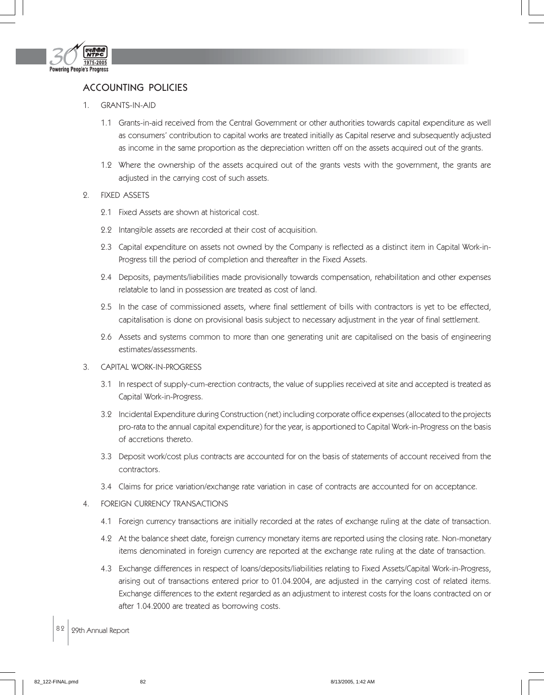

## ACCOUNTING POLICIES

- 1. GRANTS-IN-AID
	- 1.1 Grants-in-aid received from the Central Government or other authorities towards capital expenditure as well as consumers' contribution to capital works are treated initially as Capital reserve and subsequently adjusted as income in the same proportion as the depreciation written off on the assets acquired out of the grants.
	- 1.2 Where the ownership of the assets acquired out of the grants vests with the government, the grants are adjusted in the carrying cost of such assets.
- 2. FIXED ASSETS
	- 2.1 Fixed Assets are shown at historical cost.
	- 2.2 Intangible assets are recorded at their cost of acquisition.
	- 2.3 Capital expenditure on assets not owned by the Company is reflected as a distinct item in Capital Work-in-Progress till the period of completion and thereafter in the Fixed Assets.
	- 2.4 Deposits, payments/liabilities made provisionally towards compensation, rehabilitation and other expenses relatable to land in possession are treated as cost of land.
	- 2.5 In the case of commissioned assets, where final settlement of bills with contractors is yet to be effected, capitalisation is done on provisional basis subject to necessary adjustment in the year of final settlement.
	- 2.6 Assets and systems common to more than one generating unit are capitalised on the basis of engineering estimates/assessments.
- 3. CAPITAL WORK-IN-PROGRESS
	- 3.1 In respect of supply-cum-erection contracts, the value of supplies received at site and accepted is treated as Capital Work-in-Progress.
	- 3.2 Incidental Expenditure during Construction (net) including corporate office expenses (allocated to the projects pro-rata to the annual capital expenditure) for the year, is apportioned to Capital Work-in-Progress on the basis of accretions thereto.
	- 3.3 Deposit work/cost plus contracts are accounted for on the basis of statements of account received from the contractors.
	- 3.4 Claims for price variation/exchange rate variation in case of contracts are accounted for on acceptance.
- 4. FOREIGN CURRENCY TRANSACTIONS
	- 4.1 Foreign currency transactions are initially recorded at the rates of exchange ruling at the date of transaction.
	- 4.2 At the balance sheet date, foreign currency monetary items are reported using the closing rate. Non-monetary items denominated in foreign currency are reported at the exchange rate ruling at the date of transaction.
	- 4.3 Exchange differences in respect of loans/deposits/liabilities relating to Fixed Assets/Capital Work-in-Progress, arising out of transactions entered prior to 01.04.2004, are adjusted in the carrying cost of related items. Exchange differences to the extent regarded as an adjustment to interest costs for the loans contracted on or after 1.04.2000 are treated as borrowing costs.
- 82 29th Annual Report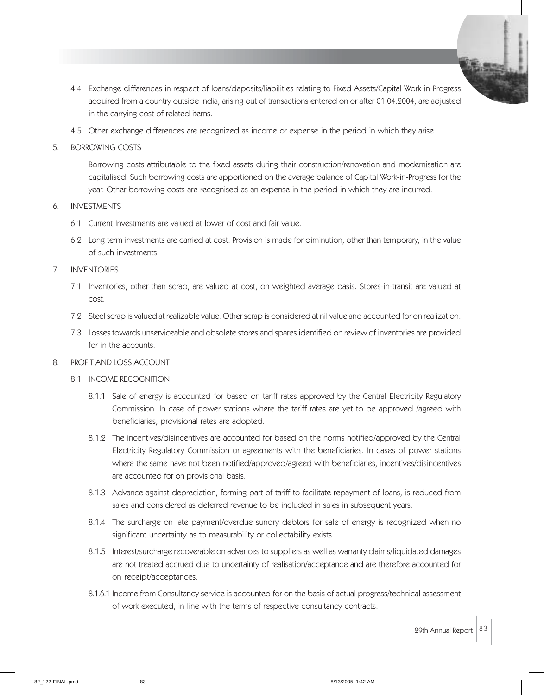- 4.4 Exchange differences in respect of loans/deposits/liabilities relating to Fixed Assets/Capital Work-in-Progress acquired from a country outside India, arising out of transactions entered on or after 01.04.2004, are adjusted in the carrying cost of related items.
- 4.5 Other exchange differences are recognized as income or expense in the period in which they arise.
- 5. BORROWING COSTS

Borrowing costs attributable to the fixed assets during their construction/renovation and modernisation are capitalised. Such borrowing costs are apportioned on the average balance of Capital Work-in-Progress for the year. Other borrowing costs are recognised as an expense in the period in which they are incurred.

- 6. INVESTMENTS
	- 6.1 Current Investments are valued at lower of cost and fair value.
	- 6.2 Long term investments are carried at cost. Provision is made for diminution, other than temporary, in the value of such investments.
- 7. INVENTORIES
	- 7.1 Inventories, other than scrap, are valued at cost, on weighted average basis. Stores-in-transit are valued at cost.
	- 7.2 Steel scrap is valued at realizable value. Other scrap is considered at nil value and accounted for on realization.
	- 7.3 Losses towards unserviceable and obsolete stores and spares identified on review of inventories are provided for in the accounts.

## 8. PROFIT AND LOSS ACCOUNT

- 8.1 INCOME RECOGNITION
	- 8.1.1 Sale of energy is accounted for based on tariff rates approved by the Central Electricity Regulatory Commission. In case of power stations where the tariff rates are yet to be approved /agreed with beneficiaries, provisional rates are adopted.
	- 8.1.2 The incentives/disincentives are accounted for based on the norms notified/approved by the Central Electricity Regulatory Commission or agreements with the beneficiaries. In cases of power stations where the same have not been notified/approved/agreed with beneficiaries, incentives/disincentives are accounted for on provisional basis.
	- 8.1.3 Advance against depreciation, forming part of tariff to facilitate repayment of loans, is reduced from sales and considered as deferred revenue to be included in sales in subsequent years.
	- 8.1.4 The surcharge on late payment/overdue sundry debtors for sale of energy is recognized when no significant uncertainty as to measurability or collectability exists.
	- 8.1.5 Interest/surcharge recoverable on advances to suppliers as well as warranty claims/liquidated damages are not treated accrued due to uncertainty of realisation/acceptance and are therefore accounted for on receipt/acceptances.
	- 8.1.6.1 Income from Consultancy service is accounted for on the basis of actual progress/technical assessment of work executed, in line with the terms of respective consultancy contracts.

29th Annual Report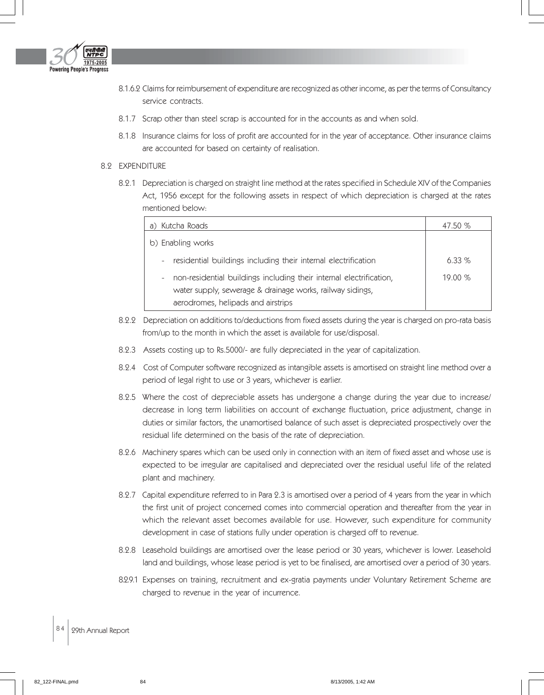

- 8.1.6.2 Claims for reimbursement of expenditure are recognized as other income, as per the terms of Consultancy service contracts.
- 8.1.7 Scrap other than steel scrap is accounted for in the accounts as and when sold.
- 8.1.8 Insurance claims for loss of profit are accounted for in the year of acceptance. Other insurance claims are accounted for based on certainty of realisation.

## 8.2 EXPENDITURE

8.2.1 Depreciation is charged on straight line method at the rates specified in Schedule XIV of the Companies Act, 1956 except for the following assets in respect of which depreciation is charged at the rates mentioned below:

| a) Kutcha Roads                                                                                                                                                        | 47.50 %  |
|------------------------------------------------------------------------------------------------------------------------------------------------------------------------|----------|
| b) Enabling works                                                                                                                                                      |          |
| residential buildings including their internal electrification<br>$\sim$                                                                                               | $6.33\%$ |
| non-residential buildings including their internal electrification,<br>water supply, sewerage & drainage works, railway sidings,<br>aerodromes, helipads and airstrips | 19.00%   |

- 8.2.2 Depreciation on additions to/deductions from fixed assets during the year is charged on pro-rata basis from/up to the month in which the asset is available for use/disposal.
- 8.2.3 Assets costing up to Rs.5000/- are fully depreciated in the year of capitalization.
- 8.2.4 Cost of Computer software recognized as intangible assets is amortised on straight line method over a period of legal right to use or 3 years, whichever is earlier.
- 8.2.5 Where the cost of depreciable assets has undergone a change during the year due to increase/ decrease in long term liabilities on account of exchange fluctuation, price adjustment, change in duties or similar factors, the unamortised balance of such asset is depreciated prospectively over the residual life determined on the basis of the rate of depreciation.
- 8.2.6 Machinery spares which can be used only in connection with an item of fixed asset and whose use is expected to be irregular are capitalised and depreciated over the residual useful life of the related plant and machinery.
- 8.2.7 Capital expenditure referred to in Para 2.3 is amortised over a period of 4 years from the year in which the first unit of project concerned comes into commercial operation and thereafter from the year in which the relevant asset becomes available for use. However, such expenditure for community development in case of stations fully under operation is charged off to revenue.
- 8.2.8 Leasehold buildings are amortised over the lease period or 30 years, whichever is lower. Leasehold land and buildings, whose lease period is yet to be finalised, are amortised over a period of 30 years.
- 8.2.9.1 Expenses on training, recruitment and ex-gratia payments under Voluntary Retirement Scheme are charged to revenue in the year of incurrence.

## 84 | 29th Annual Report